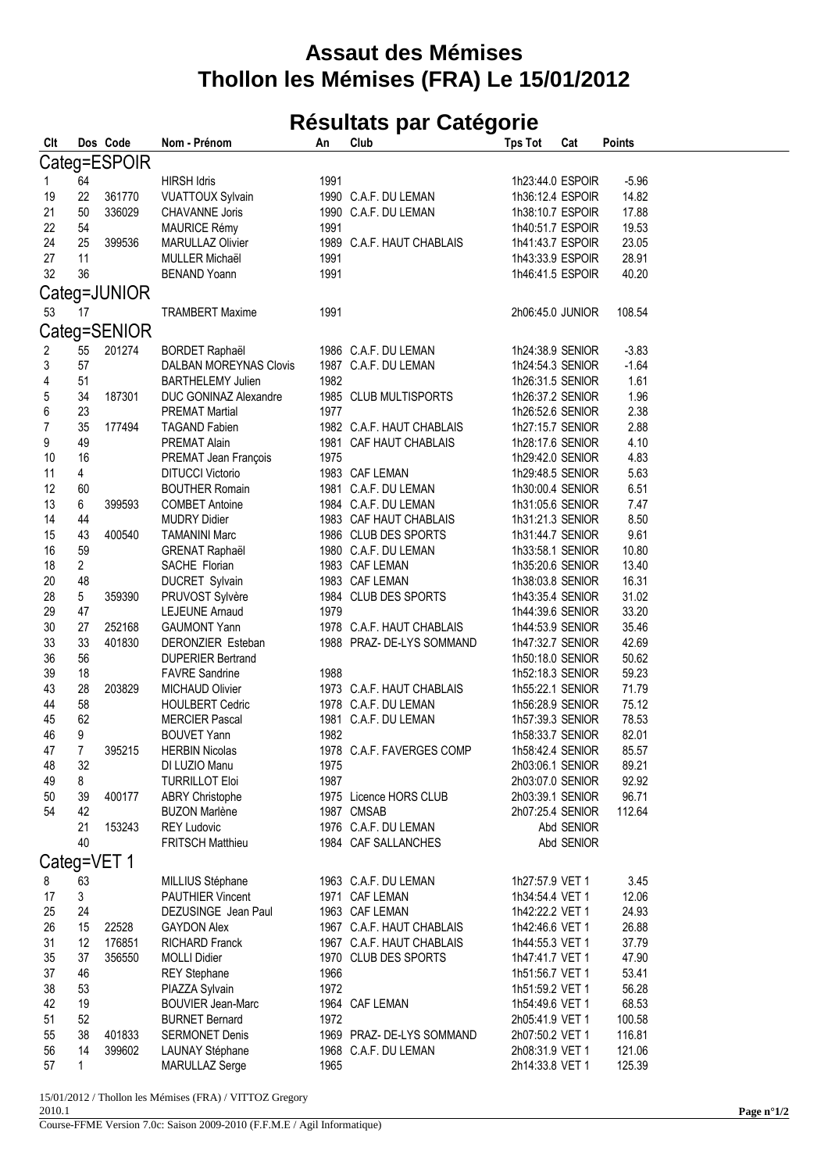## **Assaut des Mémises Thollon les Mémises (FRA) Le 15/01/2012**

## **Résultats par Catégorie**

| Clt            |                | Dos Code     | Nom - Prénom                  | An   | Club                      | <b>Tps Tot</b>   | Cat        | <b>Points</b> |  |  |  |
|----------------|----------------|--------------|-------------------------------|------|---------------------------|------------------|------------|---------------|--|--|--|
| Categ=ESPOIR   |                |              |                               |      |                           |                  |            |               |  |  |  |
| 1              | 64             |              | <b>HIRSH Idris</b>            | 1991 |                           | 1h23:44.0 ESPOIR |            | $-5.96$       |  |  |  |
| 19             | 22             | 361770       | <b>VUATTOUX Sylvain</b>       |      | 1990 C.A.F. DU LEMAN      | 1h36:12.4 ESPOIR |            | 14.82         |  |  |  |
| 21             | 50             | 336029       | <b>CHAVANNE Joris</b>         |      | 1990 C.A.F. DU LEMAN      | 1h38:10.7 ESPOIR |            | 17.88         |  |  |  |
| 22             | 54             |              | MAURICE Rémy                  | 1991 |                           | 1h40:51.7 ESPOIR |            | 19.53         |  |  |  |
| 24             | 25             | 399536       | MARULLAZ Olivier              |      | 1989 C.A.F. HAUT CHABLAIS | 1h41:43.7 ESPOIR |            | 23.05         |  |  |  |
| 27             | 11             |              | MULLER Michaël                | 1991 |                           | 1h43:33.9 ESPOIR |            | 28.91         |  |  |  |
| 32             | 36             |              | <b>BENAND Yoann</b>           | 1991 |                           | 1h46:41.5 ESPOIR |            | 40.20         |  |  |  |
|                |                |              |                               |      |                           |                  |            |               |  |  |  |
|                |                | Categ=JUNIOR |                               |      |                           |                  |            |               |  |  |  |
| 53             | 17             |              | <b>TRAMBERT Maxime</b>        | 1991 |                           | 2h06:45.0 JUNIOR |            | 108.54        |  |  |  |
| Categ=SENIOR   |                |              |                               |      |                           |                  |            |               |  |  |  |
| 2              | 55             | 201274       | <b>BORDET Raphaël</b>         |      | 1986 C.A.F. DU LEMAN      | 1h24:38.9 SENIOR |            | $-3.83$       |  |  |  |
| 3              | 57             |              | <b>DALBAN MOREYNAS Clovis</b> |      | 1987 C.A.F. DU LEMAN      | 1h24:54.3 SENIOR |            | $-1.64$       |  |  |  |
| 4              | 51             |              | <b>BARTHELEMY Julien</b>      | 1982 |                           | 1h26:31.5 SENIOR |            | 1.61          |  |  |  |
| 5              | 34             | 187301       | DUC GONINAZ Alexandre         |      | 1985 CLUB MULTISPORTS     | 1h26:37.2 SENIOR |            | 1.96          |  |  |  |
| 6              | 23             |              | <b>PREMAT Martial</b>         | 1977 |                           | 1h26:52.6 SENIOR |            | 2.38          |  |  |  |
| $\overline{7}$ | 35             | 177494       | <b>TAGAND Fabien</b>          |      | 1982 C.A.F. HAUT CHABLAIS | 1h27:15.7 SENIOR |            | 2.88          |  |  |  |
| 9              | 49             |              | PREMAT Alain                  |      | 1981 CAF HAUT CHABLAIS    | 1h28:17.6 SENIOR |            | 4.10          |  |  |  |
| 10             | 16             |              | PREMAT Jean François          | 1975 |                           | 1h29:42.0 SENIOR |            | 4.83          |  |  |  |
| 11             | 4              |              | <b>DITUCCI Victorio</b>       |      | 1983 CAF LEMAN            | 1h29:48.5 SENIOR |            | 5.63          |  |  |  |
| 12             | 60             |              | <b>BOUTHER Romain</b>         |      | 1981 C.A.F. DU LEMAN      | 1h30:00.4 SENIOR |            | 6.51          |  |  |  |
| 13             | 6              | 399593       | <b>COMBET Antoine</b>         |      | 1984 C.A.F. DU LEMAN      | 1h31:05.6 SENIOR |            | 7.47          |  |  |  |
| 14             | 44             |              | <b>MUDRY Didier</b>           |      | 1983 CAF HAUT CHABLAIS    | 1h31:21.3 SENIOR |            | 8.50          |  |  |  |
| 15             | 43             | 400540       | <b>TAMANINI Marc</b>          |      | 1986 CLUB DES SPORTS      | 1h31:44.7 SENIOR |            | 9.61          |  |  |  |
| 16             | 59             |              | <b>GRENAT Raphaël</b>         |      | 1980 C.A.F. DU LEMAN      | 1h33:58.1 SENIOR |            | 10.80         |  |  |  |
| 18             | $\overline{c}$ |              | SACHE Florian                 |      | 1983 CAF LEMAN            | 1h35:20.6 SENIOR |            | 13.40         |  |  |  |
| 20             | 48             |              | DUCRET Sylvain                |      | 1983 CAF LEMAN            | 1h38:03.8 SENIOR |            | 16.31         |  |  |  |
| 28             | 5              | 359390       | PRUVOST Sylvère               |      | 1984 CLUB DES SPORTS      | 1h43:35.4 SENIOR |            | 31.02         |  |  |  |
| 29             | 47             |              | <b>LEJEUNE Arnaud</b>         | 1979 |                           | 1h44:39.6 SENIOR |            | 33.20         |  |  |  |
| 30             | 27             | 252168       | <b>GAUMONT Yann</b>           |      | 1978 C.A.F. HAUT CHABLAIS | 1h44:53.9 SENIOR |            | 35.46         |  |  |  |
| 33             | 33             | 401830       | DERONZIER Esteban             |      | 1988 PRAZ- DE-LYS SOMMAND | 1h47:32.7 SENIOR |            | 42.69         |  |  |  |
| 36             | 56             |              | <b>DUPERIER Bertrand</b>      |      |                           | 1h50:18.0 SENIOR |            | 50.62         |  |  |  |
| 39             | 18             |              | <b>FAVRE Sandrine</b>         | 1988 |                           | 1h52:18.3 SENIOR |            | 59.23         |  |  |  |
| 43             | 28             | 203829       | <b>MICHAUD Olivier</b>        |      | 1973 C.A.F. HAUT CHABLAIS | 1h55:22.1 SENIOR |            | 71.79         |  |  |  |
| 44             | 58             |              | <b>HOULBERT Cedric</b>        |      | 1978 C.A.F. DU LEMAN      | 1h56:28.9 SENIOR |            | 75.12         |  |  |  |
| 45             | 62             |              | <b>MERCIER Pascal</b>         |      | 1981 C.A.F. DU LEMAN      | 1h57:39.3 SENIOR |            | 78.53         |  |  |  |
| 46             | 9              |              | <b>BOUVET Yann</b>            | 1982 |                           | 1h58:33.7 SENIOR |            | 82.01         |  |  |  |
| 47             | $\overline{7}$ | 395215       | <b>HERBIN Nicolas</b>         |      | 1978 C.A.F. FAVERGES COMP | 1h58:42.4 SENIOR |            | 85.57         |  |  |  |
| 48             | 32             |              | DI LUZIO Manu                 | 1975 |                           | 2h03:06.1 SENIOR |            | 89.21         |  |  |  |
| 49             | 8              |              | <b>TURRILLOT Eloi</b>         | 1987 |                           | 2h03:07.0 SENIOR |            | 92.92         |  |  |  |
| 50             | 39             | 400177       | <b>ABRY Christophe</b>        |      | 1975 Licence HORS CLUB    | 2h03:39.1 SENIOR |            | 96.71         |  |  |  |
| 54             | 42             |              | <b>BUZON Marlène</b>          |      | 1987 CMSAB                | 2h07:25.4 SENIOR |            | 112.64        |  |  |  |
|                | 21             | 153243       | <b>REY Ludovic</b>            |      | 1976 C.A.F. DU LEMAN      |                  | Abd SENIOR |               |  |  |  |
|                | 40             |              | <b>FRITSCH Matthieu</b>       |      | 1984 CAF SALLANCHES       |                  | Abd SENIOR |               |  |  |  |
| Categ=VET 1    |                |              |                               |      |                           |                  |            |               |  |  |  |
| 8              | 63             |              | MILLIUS Stéphane              |      | 1963 C.A.F. DU LEMAN      | 1h27:57.9 VET 1  |            | 3.45          |  |  |  |
| 17             | 3              |              | <b>PAUTHIER Vincent</b>       |      | 1971 CAF LEMAN            | 1h34:54.4 VET 1  |            | 12.06         |  |  |  |
| 25             | 24             |              | DEZUSINGE Jean Paul           |      | 1963 CAF LEMAN            | 1h42:22.2 VET 1  |            | 24.93         |  |  |  |
| 26             | 15             | 22528        | <b>GAYDON Alex</b>            |      | 1967 C.A.F. HAUT CHABLAIS | 1h42:46.6 VET 1  |            | 26.88         |  |  |  |
| 31             | 12             | 176851       | <b>RICHARD Franck</b>         |      | 1967 C.A.F. HAUT CHABLAIS | 1h44:55.3 VET 1  |            | 37.79         |  |  |  |
| 35             | 37             | 356550       | <b>MOLLI Didier</b>           |      | 1970 CLUB DES SPORTS      | 1h47:41.7 VET 1  |            | 47.90         |  |  |  |
| 37             | 46             |              | <b>REY Stephane</b>           | 1966 |                           | 1h51:56.7 VET 1  |            | 53.41         |  |  |  |
| 38             | 53             |              | PIAZZA Sylvain                | 1972 |                           | 1h51:59.2 VET 1  |            | 56.28         |  |  |  |
| 42             | 19             |              | <b>BOUVIER Jean-Marc</b>      |      | 1964 CAF LEMAN            | 1h54:49.6 VET 1  |            | 68.53         |  |  |  |
| 51             | 52             |              | <b>BURNET Bernard</b>         | 1972 |                           | 2h05:41.9 VET 1  |            | 100.58        |  |  |  |
| 55             | 38             | 401833       | <b>SERMONET Denis</b>         |      | 1969 PRAZ- DE-LYS SOMMAND | 2h07:50.2 VET 1  |            | 116.81        |  |  |  |
| 56             | 14             | 399602       | LAUNAY Stéphane               |      | 1968 C.A.F. DU LEMAN      | 2h08:31.9 VET 1  |            | 121.06        |  |  |  |
| 57             | 1              |              | MARULLAZ Serge                | 1965 |                           | 2h14:33.8 VET 1  |            | 125.39        |  |  |  |

15/01/2012 / Thollon les Mémises (FRA) / VITTOZ Gregory

2010.1

Course-FFME Version 7.0c: Saison 2009-2010 (F.F.M.E / Agil Informatique)